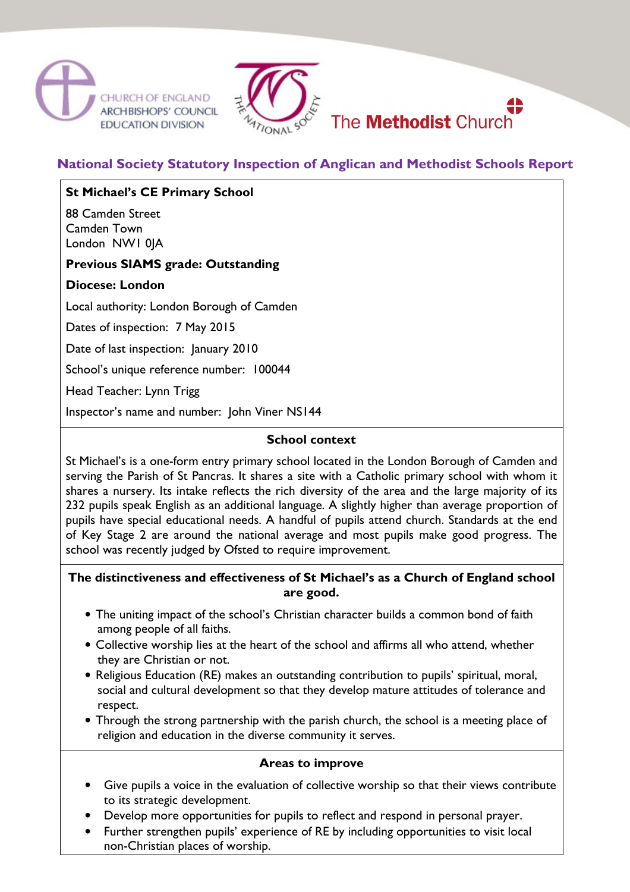



# **National Society Statutory Inspection of Anglican and Methodist Schools Report**

## **St Michael's CE Primary School**

88 Camden Street Camden Town London NW1 0JA

## **Previous SIAMS grade: Outstanding**

### **Diocese: London**

Local authority: London Borough of Camden

Dates of inspection: 7 May 2015

Date of last inspection: January 2010

School's unique reference number: 100044

Head Teacher: Lynn Trigg

Inspector's name and number: John Viner NS144

### **School context**

St Michael's is a one-form entry primary school located in the London Borough of Camden and serving the Parish of St Pancras. It shares a site with a Catholic primary school with whom it shares a nursery. Its intake reflects the rich diversity of the area and the large majority of its 232 pupils speak English as an additional language. A slightly higher than average proportion of pupils have special educational needs. A handful of pupils attend church. Standards at the end of Key Stage 2 are around the national average and most pupils make good progress. The school was recently judged by Ofsted to require improvement.

### **The distinctiveness and effectiveness of St Michael's as a Church of England school are good.**

- The uniting impact of the school's Christian character builds a common bond of faith among people of all faiths.
- Collective worship lies at the heart of the school and affirms all who attend, whether they are Christian or not.
- Religious Education (RE) makes an outstanding contribution to pupils' spiritual, moral, social and cultural development so that they develop mature attitudes of tolerance and respect.
- Through the strong partnership with the parish church, the school is a meeting place of religion and education in the diverse community it serves.

#### **Areas to improve**

- Give pupils a voice in the evaluation of collective worship so that their views contribute to its strategic development.
- Develop more opportunities for pupils to reflect and respond in personal prayer.
- Further strengthen pupils' experience of RE by including opportunities to visit local non-Christian places of worship.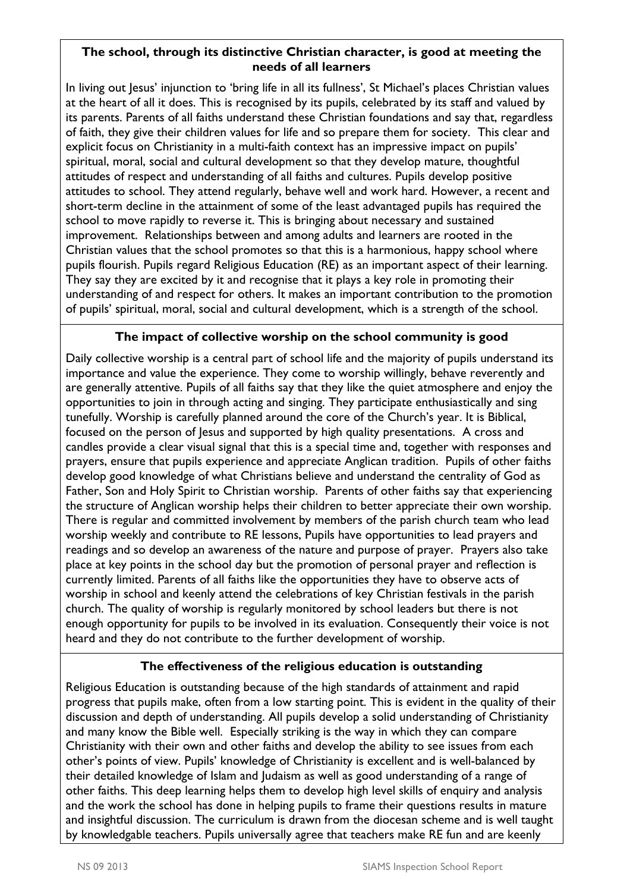### **The school, through its distinctive Christian character, is good at meeting the needs of all learners**

In living out Jesus' injunction to 'bring life in all its fullness', St Michael's places Christian values at the heart of all it does. This is recognised by its pupils, celebrated by its staff and valued by its parents. Parents of all faiths understand these Christian foundations and say that, regardless of faith, they give their children values for life and so prepare them for society. This clear and explicit focus on Christianity in a multi-faith context has an impressive impact on pupils' spiritual, moral, social and cultural development so that they develop mature, thoughtful attitudes of respect and understanding of all faiths and cultures. Pupils develop positive attitudes to school. They attend regularly, behave well and work hard. However, a recent and short-term decline in the attainment of some of the least advantaged pupils has required the school to move rapidly to reverse it. This is bringing about necessary and sustained improvement. Relationships between and among adults and learners are rooted in the Christian values that the school promotes so that this is a harmonious, happy school where pupils flourish. Pupils regard Religious Education (RE) as an important aspect of their learning. They say they are excited by it and recognise that it plays a key role in promoting their understanding of and respect for others. It makes an important contribution to the promotion of pupils' spiritual, moral, social and cultural development, which is a strength of the school.

## **The impact of collective worship on the school community is good**

Daily collective worship is a central part of school life and the majority of pupils understand its importance and value the experience. They come to worship willingly, behave reverently and are generally attentive. Pupils of all faiths say that they like the quiet atmosphere and enjoy the opportunities to join in through acting and singing. They participate enthusiastically and sing tunefully. Worship is carefully planned around the core of the Church's year. It is Biblical, focused on the person of Jesus and supported by high quality presentations. A cross and candles provide a clear visual signal that this is a special time and, together with responses and prayers, ensure that pupils experience and appreciate Anglican tradition. Pupils of other faiths develop good knowledge of what Christians believe and understand the centrality of God as Father, Son and Holy Spirit to Christian worship. Parents of other faiths say that experiencing the structure of Anglican worship helps their children to better appreciate their own worship. There is regular and committed involvement by members of the parish church team who lead worship weekly and contribute to RE lessons, Pupils have opportunities to lead prayers and readings and so develop an awareness of the nature and purpose of prayer. Prayers also take place at key points in the school day but the promotion of personal prayer and reflection is currently limited. Parents of all faiths like the opportunities they have to observe acts of worship in school and keenly attend the celebrations of key Christian festivals in the parish church. The quality of worship is regularly monitored by school leaders but there is not enough opportunity for pupils to be involved in its evaluation. Consequently their voice is not heard and they do not contribute to the further development of worship.

## **The effectiveness of the religious education is outstanding**

Religious Education is outstanding because of the high standards of attainment and rapid progress that pupils make, often from a low starting point. This is evident in the quality of their discussion and depth of understanding. All pupils develop a solid understanding of Christianity and many know the Bible well. Especially striking is the way in which they can compare Christianity with their own and other faiths and develop the ability to see issues from each other's points of view. Pupils' knowledge of Christianity is excellent and is well-balanced by their detailed knowledge of Islam and Judaism as well as good understanding of a range of other faiths. This deep learning helps them to develop high level skills of enquiry and analysis and the work the school has done in helping pupils to frame their questions results in mature and insightful discussion. The curriculum is drawn from the diocesan scheme and is well taught by knowledgable teachers. Pupils universally agree that teachers make RE fun and are keenly